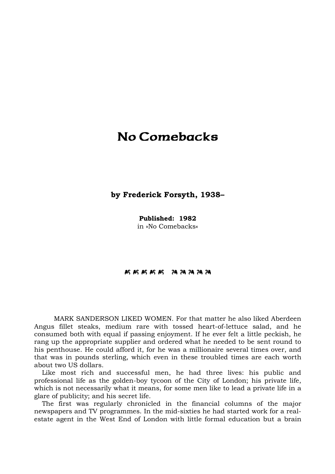## No Comebacks

## **by Frederick Forsyth, 1938–**

**Published: 1982**  in »No Comebacks«

## **KKKKK AAAAA**

 MARK SANDERSON LIKED WOMEN. For that matter he also liked Aberdeen Angus fillet steaks, medium rare with tossed heart-of-lettuce salad, and he consumed both with equal if passing enjoyment. If he ever felt a little peckish, he rang up the appropriate supplier and ordered what he needed to be sent round to his penthouse. He could afford it, for he was a millionaire several times over, and that was in pounds sterling, which even in these troubled times are each worth about two US dollars.

 Like most rich and successful men, he had three lives: his public and professional life as the golden-boy tycoon of the City of London; his private life, which is not necessarily what it means, for some men like to lead a private life in a glare of publicity; and his secret life.

 The first was regularly chronicled in the financial columns of the major newspapers and TV programmes. In the mid-sixties he had started work for a realestate agent in the West End of London with little formal education but a brain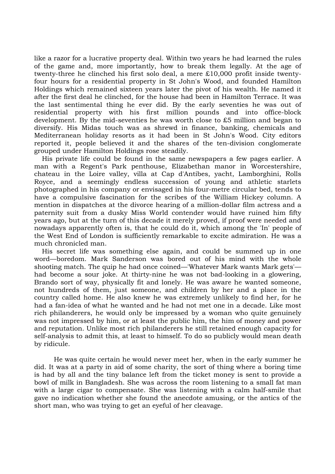like a razor for a lucrative property deal. Within two years he had learned the rules of the game and, more importantly, how to break them legally. At the age of twenty-three he clinched his first solo deal, a mere £10,000 profit inside twentyfour hours for a residential property in St John's Wood, and founded Hamilton Holdings which remained sixteen years later the pivot of his wealth. He named it after the first deal he clinched, for the house had been in Hamilton Terrace. It was the last sentimental thing he ever did. By the early seventies he was out of residential property with his first million pounds and into office-block development. By the mid-seventies he was worth close to £5 million and began to diversify. His Midas touch was as shrewd in finance, banking, chemicals and Mediterranean holiday resorts as it had been in St John's Wood. City editors reported it, people believed it and the shares of the ten-division conglomerate grouped under Hamilton Holdings rose steadily.

 His private life could be found in the same newspapers a few pages earlier. A man with a Regent's Park penthouse, Elizabethan manor in Worcestershire, chateau in the Loire valley, villa at Cap d'Antibes, yacht, Lamborghini, Rolls Royce, and a seemingly endless succession of young and athletic starlets photographed in his company or envisaged in his four-metre circular bed, tends to have a compulsive fascination for the scribes of the William Hickey column. A mention in dispatches at the divorce hearing of a million-dollar film actress and a paternity suit from a dusky Miss World contender would have ruined him fifty years ago, but at the turn of this decade it merely proved, if proof were needed and nowadays apparently often is, that he could do it, which among the 'In' people of the West End of London is sufficiently remarkable to excite admiration. He was a much chronicled man.

 His secret life was something else again, and could be summed up in one word—boredom. Mark Sanderson was bored out of his mind with the whole shooting match. The quip he had once coined—'Whatever Mark wants Mark gets' had become a sour joke. At thirty-nine he was not bad-looking in a glowering, Brando sort of way, physically fit and lonely. He was aware he wanted someone, not hundreds of them, just someone, and children by her and a place in the country called home. He also knew he was extremely unlikely to find her, for he had a fan-idea of what he wanted and he had not met one in a decade. Like most rich philanderers, he would only be impressed by a woman who quite genuinely was not impressed by him, or at least the public him, the him of money and power and reputation. Unlike most rich philanderers he still retained enough capacity for self-analysis to admit this, at least to himself. To do so publicly would mean death by ridicule.

 He was quite certain he would never meet her, when in the early summer he did. It was at a party in aid of some charity, the sort of thing where a boring time is had by all and the tiny balance left from the ticket money is sent to provide a bowl of milk in Bangladesh. She was across the room listening to a small fat man with a large cigar to compensate. She was listening with a calm half-smile that gave no indication whether she found the anecdote amusing, or the antics of the short man, who was trying to get an eyeful of her cleavage.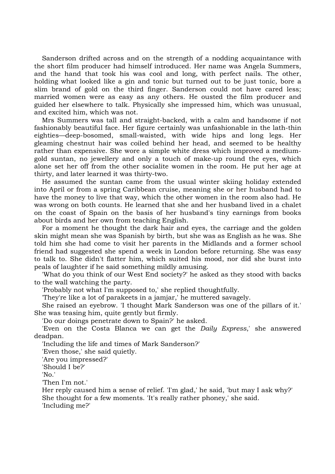Sanderson drifted across and on the strength of a nodding acquaintance with the short film producer had himself introduced. Her name was Angela Summers, and the hand that took his was cool and long, with perfect nails. The other, holding what looked like a gin and tonic but turned out to be just tonic, bore a slim brand of gold on the third finger. Sanderson could not have cared less; married women were as easy as any others. He ousted the film producer and guided her elsewhere to talk. Physically she impressed him, which was unusual, and excited him, which was not.

 Mrs Summers was tall and straight-backed, with a calm and handsome if not fashionably beautiful face. Her figure certainly was unfashionable in the lath-thin eighties—deep-bosomed, small-waisted, with wide hips and long legs. Her gleaming chestnut hair was coiled behind her head, and seemed to be healthy rather than expensive. She wore a simple white dress which improved a mediumgold suntan, no jewellery and only a touch of make-up round the eyes, which alone set her off from the other socialite women in the room. He put her age at thirty, and later learned it was thirty-two.

 He assumed the suntan came from the usual winter skiing holiday extended into April or from a spring Caribbean cruise, meaning she or her husband had to have the money to live that way, which the other women in the room also had. He was wrong on both counts. He learned that she and her husband lived in a chalet on the coast of Spain on the basis of her husband's tiny earnings from books about birds and her own from teaching English.

 For a moment he thought the dark hair and eyes, the carriage and the golden skin might mean she was Spanish by birth, but she was as English as he was. She told him she had come to visit her parents in the Midlands and a former school friend had suggested she spend a week in London before returning. She was easy to talk to. She didn't flatter him, which suited his mood, nor did she burst into peals of laughter if he said something mildly amusing.

 'What do you think of our West End society?' he asked as they stood with backs to the wall watching the party.

'Probably not what I'm supposed to,' she replied thoughtfully.

'They're like a lot of parakeets in a jamjar,' he muttered savagely.

 She raised an eyebrow. 'I thought Mark Sanderson was one of the pillars of it.' She was teasing him, quite gently but firmly.

'Do our doings penetrate down to Spain?' he asked.

 'Even on the Costa Blanca we can get the *Daily Express*,' she answered deadpan.

'Including the life and times of Mark Sanderson?'

'Even those,' she said quietly.

'Are you impressed?'

'Should I be?'

'No.'

'Then I'm not.'

 Her reply caused him a sense of relief. 'I'm glad,' he said, 'but may I ask why?' She thought for a few moments. 'It's really rather phoney,' she said. 'Including me?'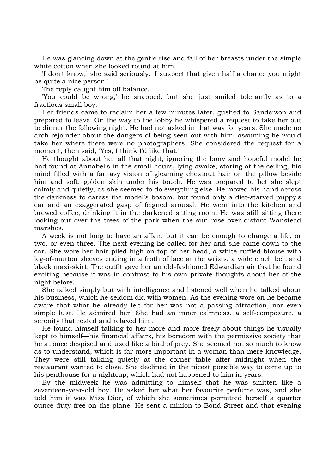He was glancing down at the gentle rise and fall of her breasts under the simple white cotton when she looked round at him.

 'I don't know,' she said seriously. 'I suspect that given half a chance you might be quite a nice person.'

The reply caught him off balance.

 'You could be wrong,' he snapped, but she just smiled tolerantly as to a fractious small boy.

 Her friends came to reclaim her a few minutes later, gushed to Sanderson and prepared to leave. On the way to the lobby he whispered a request to take her out to dinner the following night. He had not asked in that way for years. She made no arch rejoinder about the dangers of being seen out with him, assuming he would take her where there were no photographers. She considered the request for a moment, then said, 'Yes, I think I'd like that.'

 He thought about her all that night, ignoring the bony and hopeful model he had found at Annabel's in the small hours, lying awake, staring at the ceiling, his mind filled with a fantasy vision of gleaming chestnut hair on the pillow beside him and soft, golden skin under his touch. He was prepared to bet she slept calmly and quietly, as she seemed to do everything else. He moved his hand across the darkness to caress the model's bosom, but found only a diet-starved puppy's ear and an exaggerated gasp of feigned arousal. He went into the kitchen and brewed coffee, drinking it in the darkened sitting room. He was still sitting there looking out over the trees of the park when the sun rose over distant Wanstead marshes.

 A week is not long to have an affair, but it can be enough to change a life, or two, or even three. The next evening he called for her and she came down to the car. She wore her hair piled high on top of her head, a white ruffled blouse with leg-of-mutton sleeves ending in a froth of lace at the wrists, a wide cinch belt and black maxi-skirt. The outfit gave her an old-fashioned Edwardian air that he found exciting because it was in contrast to his own private thoughts about her of the night before.

 She talked simply but with intelligence and listened well when he talked about his business, which he seldom did with women. As the evening wore on he became aware that what he already felt for her was not a passing attraction, nor even simple lust. He admired her. She had an inner calmness, a self-composure, a serenity that rested and relaxed him.

 He found himself talking to her more and more freely about things he usually kept to himself—his financial affairs, his boredom with the permissive society that he at once despised and used like a bird of prey. She seemed not so much to know as to understand, which is far more important in a woman than mere knowledge. They were still talking quietly at the corner table after midnight when the restaurant wanted to close. She declined in the nicest possible way to come up to his penthouse for a nightcap, which had not happened to him in years.

 By the midweek he was admitting to himself that he was smitten like a seventeen-year-old boy. He asked her what her favourite perfume was, and she told him it was Miss Dior, of which she sometimes permitted herself a quarter ounce duty free on the plane. He sent a minion to Bond Street and that evening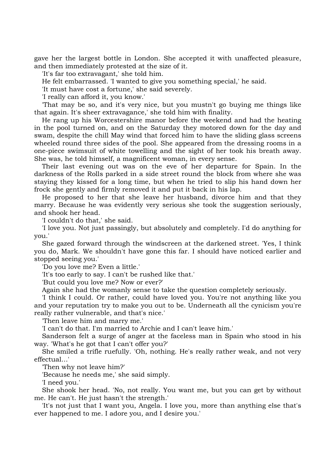gave her the largest bottle in London. She accepted it with unaffected pleasure, and then immediately protested at the size of it.

'It's far too extravagant,' she told him.

He felt embarrassed. 'I wanted to give you something special,' he said.

'It must have cost a fortune,' she said severely.

'I really can afford it, you know.'

 'That may be so, and it's very nice, but you mustn't go buying me things like that again. It's sheer extravagance,' she told him with finality.

 He rang up his Worcestershire manor before the weekend and had the heating in the pool turned on, and on the Saturday they motored down for the day and swam, despite the chill May wind that forced him to have the sliding glass screens wheeled round three sides of the pool. She appeared from the dressing rooms in a one-piece swimsuit of white towelling and the sight of her took his breath away. She was, he told himself, a magnificent woman, in every sense.

 Their last evening out was on the eve of her departure for Spain. In the darkness of the Rolls parked in a side street round the block from where she was staying they kissed for a long time, but when he tried to slip his hand down her frock she gently and firmly removed it and put it back in his lap.

 He proposed to her that she leave her husband, divorce him and that they marry. Because he was evidently very serious she took the suggestion seriously, and shook her head.

'I couldn't do that,' she said.

 'I love you. Not just passingly, but absolutely and completely. I'd do anything for you.'

 She gazed forward through the windscreen at the darkened street. 'Yes, I think you do, Mark. We shouldn't have gone this far. I should have noticed earlier and stopped seeing you.'

'Do you love me? Even a little.'

'It's too early to say. I can't be rushed like that.'

'But could you love me? Now or ever?'

Again she had the womanly sense to take the question completely seriously.

 'I think I could. Or rather, could have loved you. You're not anything like you and your reputation try to make you out to be. Underneath all the cynicism you're really rather vulnerable, and that's nice.'

'Then leave him and marry me.'

'I can't do that. I'm married to Archie and I can't leave him.'

 Sanderson felt a surge of anger at the faceless man in Spain who stood in his way. 'What's he got that I can't offer you?'

 She smiled a trifle ruefully. 'Oh, nothing. He's really rather weak, and not very effectual…'

'Then why not leave him?'

'Because he needs me,' she said simply.

'I need you.'

 She shook her head. 'No, not really. You want me, but you can get by without me. He can't. He just hasn't the strength.'

 'It's not just that I want you, Angela. I love you, more than anything else that's ever happened to me. I adore you, and I desire you.'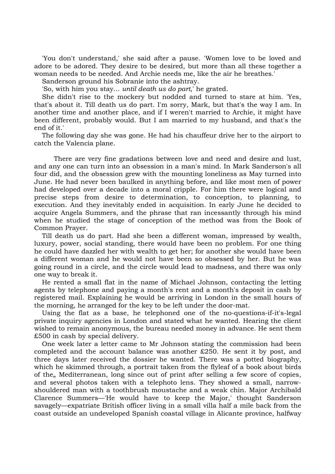'You don't understand,' she said after a pause. 'Women love to be loved and adore to be adored. They desire to be desired, but more than all these together a woman needs to be needed. And Archie needs me, like the air he breathes.'

Sanderson ground his Sobranie into the ashtray.

'So, with him you stay… *until death us do part*,' he grated.

 She didn't rise to the mockery but nodded and turned to stare at him. 'Yes, that's about it. Till death us do part. I'm sorry, Mark, but that's the way I am. In another time and another place, and if I weren't married to Archie, it might have been different, probably would. But I am married to my husband, and that's the end of it.'

 The following day she was gone. He had his chauffeur drive her to the airport to catch the Valencia plane.

 There are very fine gradations between love and need and desire and lust, and any one can turn into an obsession in a man's mind. In Mark Sanderson's all four did, and the obsession grew with the mounting loneliness as May turned into June. He had never been baulked in anything before, and like most men of power had developed over a decade into a moral cripple. For him there were logical and precise steps from desire to determination, to conception, to planning, to execution. And they inevitably ended in acquisition. In early June he decided to acquire Angela Summers, and the phrase that ran incessantly through his mind when he studied the stage of conception of the method was from the Book of Common Prayer.

 Till death us do part. Had she been a different woman, impressed by wealth, luxury, power, social standing, there would have been no problem. For one thing he could have dazzled her with wealth to get her; for another she would have been a different woman and he would not have been so obsessed by her. But he was going round in a circle, and the circle would lead to madness, and there was only one way to break it.

 He rented a small flat in the name of Michael Johnson, contacting the letting agents by telephone and paying a month's rent and a month's deposit in cash by registered mail. Explaining he would be arriving in London in the small hours of the morning, he arranged for the key to be left under the door-mat.

 Using the flat as a base, he telephoned one of the no-questions-if-it's-legal private inquiry agencies in London and stated what he wanted. Hearing the client wished to remain anonymous, the bureau needed money in advance. He sent them £500 in cash by special delivery.

 One week later a letter came to Mr Johnson stating the commission had been completed and the account balance was another £250. He sent it by post, and three days later received the dossier he wanted. There was a potted biography, which he skimmed through, a portrait taken from the flyleaf of a book about birds of the, Mediterranean, long since out of print after selling a few score of copies, and several photos taken with a telephoto lens. They showed a small, narrowshouldered man with a toothbrush moustache and a weak chin. Major Archibald Clarence Summers—'He would have to keep the Major,' thought Sanderson savagely—expatriate British officer living in a small villa half a mile back from the coast outside an undeveloped Spanish coastal village in Alicante province, halfway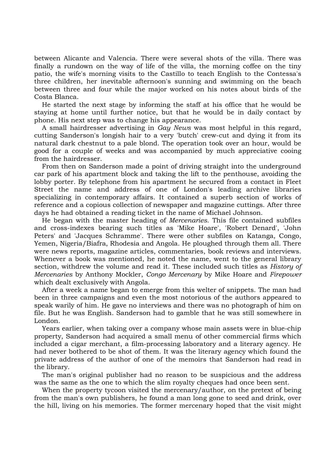between Alicante and Valencia. There were several shots of the villa. There was finally a rundown on the way of life of the villa, the morning coffee on the tiny patio, the wife's morning visits to the Castillo to teach English to the Contessa's three children, her inevitable afternoon's sunning and swimming on the beach between three and four while the major worked on his notes about birds of the Costa Blanca.

 He started the next stage by informing the staff at his office that he would be staying at home until further notice, but that he would be in daily contact by phone. His next step was to change his appearance.

 A small hairdresser advertising in *Gay News* was most helpful in this regard, cutting Sanderson's longish hair to a very 'butch' crew-cut and dying it from its natural dark chestnut to a pale blond. The operation took over an hour, would be good for a couple of weeks and was accompanied by much appreciative cooing from the hairdresser.

 From then on Sanderson made a point of driving straight into the underground car park of his apartment block and taking the lift to the penthouse, avoiding the lobby porter. By telephone from his apartment he secured from a contact in Fleet Street the name and address of one of London's leading archive libraries specializing in contemporary affairs. It contained a superb section of works of reference and a copious collection of newspaper and magazine cuttings. After three days he had obtained a reading ticket in the name of Michael Johnson.

 He began with the master heading of *Mercenaries*. This file contained subfiles and cross-indexes bearing such titles as 'Mike Hoare', 'Robert Denard', 'John Peters' and 'Jacques Schramme'. There were other subfiles on Katanga, Congo, Yemen, Nigeria/Biafra, Rhodesia and Angola. He ploughed through them all. There were news reports, magazine articles, commentaries, book reviews and interviews. Whenever a book was mentioned, he noted the name, went to the general library section, withdrew the volume and read it. These included such titles as *History of Mercenaries* by Anthony Mockler, *Congo Mercenary* by Mike Hoare and *Firepower* which dealt exclusively with Angola.

 After a week a name began to emerge from this welter of snippets. The man had been in three campaigns and even the most notorious of the authors appeared to speak warily of him. He gave no interviews and there was no photograph of him on file. But he was English. Sanderson had to gamble that he was still somewhere in London.

 Years earlier, when taking over a company whose main assets were in blue-chip property, Sanderson had acquired a small menu of other commercial firms which included a cigar merchant, a film-processing laboratory and a literary agency. He had never bothered to be shot of them. It was the literary agency which found the private address of the author of one of the memoirs that Sanderson had read in the library.

 The man's original publisher had no reason to be suspicious and the address was the same as the one to which the slim royalty cheques had once been sent.

 When the property tycoon visited the mercenary/author, on the pretext of being from the man's own publishers, he found a man long gone to seed and drink, over the hill, living on his memories. The former mercenary hoped that the visit might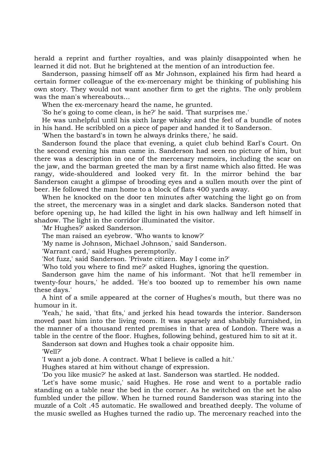herald a reprint and further royalties, and was plainly disappointed when he learned it did not. But he brightened at the mention of an introduction fee.

 Sanderson, passing himself off as Mr Johnson, explained his firm had heard a certain former colleague of the ex-mercenary might be thinking of publishing his own story. They would not want another firm to get the rights. The only problem was the man's whereabouts…

When the ex-mercenary heard the name, he grunted.

'So he's going to come clean, is he?' he said. 'That surprises me.'

 He was unhelpful until his sixth large whisky and the feel of a bundle of notes in his hand. He scribbled on a piece of paper and handed it to Sanderson.

'When the bastard's in town he always drinks there,' he said.

 Sanderson found the place that evening, a quiet club behind Earl's Court. On the second evening his man came in. Sanderson had seen no picture of him, but there was a description in one of the mercenary memoirs, including the scar on the jaw, and the barman greeted the man by a first name which also fitted. He was rangy, wide-shouldered and looked very fit. In the mirror behind the bar Sanderson caught a glimpse of brooding eyes and a sullen mouth over the pint of beer. He followed the man home to a block of flats 400 yards away.

 When he knocked on the door ten minutes after watching the light go on from the street, the mercenary was in a singlet and dark slacks. Sanderson noted that before opening up, he had killed the light in his own hallway and left himself in shadow. The light in the corridor illuminated the visitor.

'Mr Hughes?' asked Sanderson.

The man raised an eyebrow. 'Who wants to know?'

'My name is Johnson, Michael Johnson,' said Sanderson.

'Warrant card,' said Hughes peremptorily.

'Not fuzz,' said Sanderson. 'Private citizen. May I come in?'

'Who told you where to find me?' asked Hughes, ignoring the question.

 Sanderson gave him the name of his informant. 'Not that he'll remember in twenty-four hours,' he added. 'He's too boozed up to remember his own name these days.'

 A hint of a smile appeared at the corner of Hughes's mouth, but there was no humour in it.

 'Yeah,' he said, 'that fits,' and jerked his head towards the interior. Sanderson moved past him into the living room. It was sparsely and shabbily furnished, in the manner of a thousand rented premises in that area of London. There was a table in the centre of the floor. Hughes, following behind, gestured him to sit at it.

Sanderson sat down and Hughes took a chair opposite him.

'Well?'

'I want a job done. A contract. What I believe is called a hit.'

Hughes stared at him without change of expression.

'Do you like music?' he asked at last. Sanderson was startled. He nodded.

 'Let's have some music,' said Hughes. He rose and went to a portable radio standing on a table near the bed in the corner. As he switched on the set he also fumbled under the pillow. When he turned round Sanderson was staring into the muzzle of a Colt .45 automatic. He swallowed and breathed deeply. The volume of the music swelled as Hughes turned the radio up. The mercenary reached into the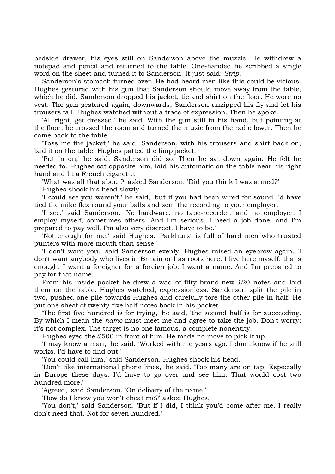bedside drawer, his eyes still on Sanderson above the muzzle. He withdrew a notepad and pencil and returned to the table. One-handed he scribbed a single word on the sheet and turned it to Sanderson. It just said: *Strip*.

 Sanderson's stomach turned over. He had heard men like this could be vicious. Hughes gestured with his gun that Sanderson should move away from the table, which he did. Sanderson dropped his jacket, tie and shirt on the floor. He wore no vest. The gun gestured again, downwards; Sanderson unzipped his fly and let his trousers fall. Hughes watched without a trace of expression. Then he spoke.

 'All right, get dressed,' he said. With the gun still in his hand, but pointing at the floor, he crossed the room and turned the music from the radio lower. Then he came back to the table.

 'Toss me the jacket,' he said. Sanderson, with his trousers and shirt back on, laid it on the table. Hughes patted the limp jacket.

 'Put in on,' he said. Sanderson did so. Then he sat down again. He felt he needed to. Hughes sat opposite him, laid his automatic on the table near his right hand and lit a French cigarette.

'What was all that about?' asked Sanderson. 'Did you think I was armed?'

Hughes shook his head slowly.

 'I could see you weren't,' he said, 'but if you had been wired for sound I'd have tied the mike flex round your balls and sent the recording to your employer.'

 'I see,' said Sanderson. 'No hardware, no tape-recorder, and no employer. I employ myself; sometimes others. And I'm serious. I need a job done, and I'm prepared to pay well. I'm also very discreet. I have to be.'

 'Not enough for me,' said Hughes. 'Parkhurst is full of hard men who trusted punters with more mouth than sense.'

 'I don't want you,' said Sanderson evenly. Hughes raised an eyebrow again. 'I don't want anybody who lives in Britain or has roots here. I live here myself; that's enough. I want a foreigner for a foreign job. I want a name. And I'm prepared to pay for that name.'

 From his inside pocket he drew a wad of fifty brand-new £20 notes and laid them on the table. Hughes watched, expressionless. Sanderson split the pile in two, pushed one pile towards Hughes and carefully tore the other pile in half. He put one sheaf of twenty-five half-notes back in his pocket.

 'The first five hundred is for trying,' he said, 'the second half is for succeeding. By which I mean the *name* must meet me and agree to take the job. Don't worry; it's not complex. The target is no one famous, a complete nonentity.'

Hughes eyed the £500 in front of him. He made no move to pick it up.

 'I may know a man,' he said. 'Worked with me years ago. I don't know if he still works. I'd have to find out.'

'You could call him,' said Sanderson. Hughes shook his head.

 'Don't like international phone lines,' he said. 'Too many are on tap. Especially in Europe these days. I'd have to go over and see him. That would cost two hundred more.'

'Agreed,' said Sanderson. 'On delivery of the name.'

'How do I know you won't cheat me?' asked Hughes.

 'You don't,' said Sanderson. 'But if I did, I think you'd come after me. I really don't need that. Not for seven hundred.'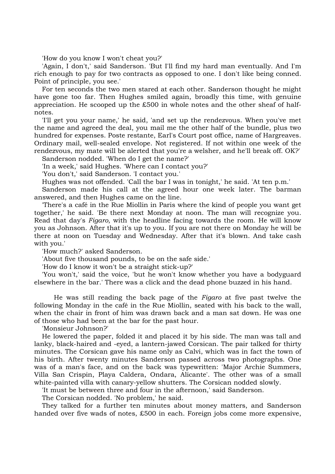'How do you know I won't cheat you?'

 'Again, I don't,' said Sanderson. 'But I'll find my hard man eventually. And I'm rich enough to pay for two contracts as opposed to one. I don't like being conned. Point of principle, you see.'

 For ten seconds the two men stared at each other. Sanderson thought he might have gone too far. Then Hughes smiled again, broadly this time, with genuine appreciation. He scooped up the £500 in whole notes and the other sheaf of halfnotes.

 'I'll get you your name,' he said, 'and set up the rendezvous. When you've met the name and agreed the deal, you mail me the other half of the bundle, plus two hundred for expenses. Poste restante, Earl's Court post office, name of Hargreaves. Ordinary mail, well-sealed envelope. Not registered. If not within one week of the rendezvous, my mate will be alerted that you're a welsher, and he'll break off. OK?'

Sanderson nodded. 'When do I get the name?'

'In a week,' said Hughes. 'Where can I contact you?'

'You don't,' said Sanderson. 'I contact you.'

Hughes was not offended. 'Call the bar I was in tonight,' he said. 'At ten p.m.'

 Sanderson made his call at the agreed hour one week later. The barman answered, and then Hughes came on the line.

 'There's a café in the Rue Miollin in Paris where the kind of people you want get together,' he said. 'Be there next Monday at noon. The man will recognize you. Read that day's *Figaro*, with the headline facing towards the room. He will know you as Johnson. After that it's up to you. If you are not there on Monday he will be there at noon on Tuesday and Wednesday. After that it's blown. And take cash with you.'

'How much?' asked Sanderson.

'About five thousand pounds, to be on the safe side.'

'How do I know it won't be a straight stick-up?'

 'You won't,' said the voice, 'but he won't know whether you have a bodyguard elsewhere in the bar.' There was a click and the dead phone buzzed in his hand.

 He was still reading the back page of the *Figaro* at five past twelve the following Monday in the café in the Rue Miollin, seated with his back to the wall, when the chair in front of him was drawn back and a man sat down. He was one of those who had been at the bar for the past hour.

'Monsieur Johnson?'

 He lowered the paper, folded it and placed it by his side. The man was tall and lanky, black-haired and -eyed, a lantern-jawed Corsican. The pair talked for thirty minutes. The Corsican gave his name only as Calvi, which was in fact the town of his birth. After twenty minutes Sanderson passed across two photographs. One was of a man's face, and on the back was typewritten: 'Major Archie Summers, Villa San Crispin, Playa Caldera, Ondara, Alicante'. The other was of a small white-painted villa with canary-yellow shutters. The Corsican nodded slowly.

'It must be between three and four in the afternoon,' said Sanderson.

The Corsican nodded. 'No problem,' he said.

 They talked for a further ten minutes about money matters, and Sanderson handed over five wads of notes, £500 in each. Foreign jobs come more expensive,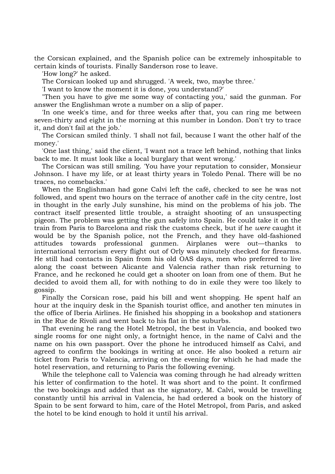the Corsican explained, and the Spanish police can be extremely inhospitable to certain kinds of tourists. Finally Sanderson rose to leave.

'How long?' he asked.

The Corsican looked up and shrugged. 'A week, two, maybe three.'

'I want to know the moment it is done, you understand?'

 "Then you have to give me some way of contacting you,' said the gunman. For answer the Englishman wrote a number on a slip of paper.

 'In one week's time, and for three weeks after that, you can ring me between seven-thirty and eight in the morning at this number in London. Don't try to trace it, and don't fail at the job.'

 The Corsican smiled thinly. 'I shall not fail, because I want the other half of the money.'

 'One last thing,' said the client, 'I want not a trace left behind, nothing that links back to me. It must look like a local burglary that went wrong.'

 The Corsican was still smiling. 'You have your reputation to consider, Monsieur Johnson. I have my life, or at least thirty years in Toledo Penal. There will be no traces, no comebacks.'

 When the Englishman had gone Calvi left the café, checked to see he was not followed, and spent two hours on the terrace of another café in the city centre, lost in thought in the early July sunshine, his mind on the problems of his job. The contract itself presented little trouble, a straight shooting of an unsuspecting pigeon. The problem was getting the gun safely into Spain. He could take it on the train from Paris to Barcelona and risk the customs check, but if he *were* caught it would be by the Spanish police, not the French, and they have old-fashioned attitudes towards professional gunmen. Airplanes were out—thanks to international terrorism every flight out of Orly was minutely checked for firearms. He still had contacts in Spain from his old OAS days, men who preferred to live along the coast between Alicante and Valencia rather than risk returning to France, and he reckoned he could get a shooter on loan from one of them. But he decided to avoid them all, for with nothing to do in exile they were too likely to gossip.

 Finally the Corsican rose, paid his bill and went shopping. He spent half an hour at the inquiry desk in the Spanish tourist office, and another ten minutes in the office of Iberia Airlines. He finished his shopping in a bookshop and stationers in the Rue de Rivoli and went back to his flat in the suburbs.

 That evening he rang the Hotel Metropol, the best in Valencia, and booked two single rooms for one night only, a fortnight hence, in the name of Calvi and the name on his own passport. Over the phone he introduced himself as Calvi, and agreed to confirm the bookings in writing at once. He also booked a return air ticket from Paris to Valencia, arriving on the evening for which he had made the hotel reservation, and returning to Paris the following evening.

 While the telephone call to Valencia was coming through he had already written his letter of confirmation to the hotel. It was short and to the point. It confirmed the two bookings and added that as the signatory, M. Calvi, would be travelling constantly until his arrival in Valencia, he had ordered a book on the history of Spain to be sent forward to him, care of the Hotel Metropol, from Paris, and asked the hotel to be kind enough to hold it until his arrival.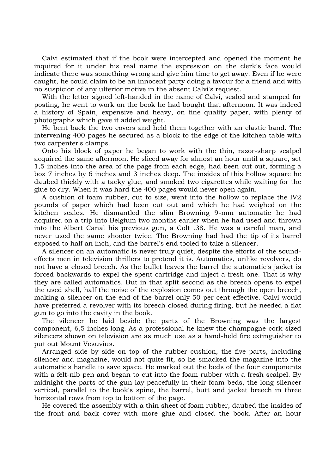Calvi estimated that if the book were intercepted and opened the moment he inquired for it under his real name the expression on the clerk's face would indicate there was something wrong and give him time to get away. Even if he were caught, he could claim to be an innocent party doing a favour for a friend and with no suspicion of any ulterior motive in the absent Calvi's request.

 With the letter signed left-handed in the name of Calvi, sealed and stamped for posting, he went to work on the book he had bought that afternoon. It was indeed a history of Spain, expensive and heavy, on fine quality paper, with plenty of photographs which gave it added weight.

 He bent back the two covers and held them together with an elastic band. The intervening 400 pages he secured as a block to the edge of the kitchen table with two carpenter's clamps.

 Onto his block of paper he began to work with the thin, razor-sharp scalpel acquired the same afternoon. He sliced away for almost an hour until a square, set 1,5 inches into the area of the page from each edge, had been cut out, forming a box 7 inches by 6 inches and 3 inches deep. The insides of this hollow square he daubed thickly with a tacky glue, and smoked two cigarettes while waiting for the glue to dry. When it was hard the 400 pages would never open again.

 A cushion of foam rubber, cut to size, went into the hollow to replace the IV2 pounds of paper which had been cut out and which he had weighed on the kitchen scales. He dismantled the slim Browning 9-mm automatic he had acquired on a trip into Belgium two months earlier when he had used and thrown into the Albert Canal his previous gun, a Colt .38. He was a careful man, and never used the same shooter twice. The Browning had had the tip of its barrel exposed to half an inch, and the barrel's end tooled to take a silencer.

 A silencer on an automatic is never truly quiet, despite the efforts of the soundeffects men in television thrillers to pretend it is. Automatics, unlike revolvers, do not have a closed breech. As the bullet leaves the barrel the automatic's jacket is forced backwards to expel the spent cartridge and inject a fresh one. That is why they are called automatics. But in that split second as the breech opens to expel the used shell, half the noise of the explosion comes out through the open breech, making a silencer on the end of the barrel only 50 per cent effective. Calvi would have preferred a revolver with its breech closed during firing, but he needed a flat gun to go into the cavity in the book.

 The silencer he laid beside the parts of the Browning was the largest component, 6,5 inches long. As a professional he knew the champagne-cork-sized silencers shown on television are as much use as a hand-held fire extinguisher to put out Mount Vesuvius.

 Arranged side by side on top of the rubber cushion, the five parts, including silencer and magazine, would not quite fit, so he smacked the magazine into the automatic's handle to save space. He marked out the beds of the four components with a felt-nib pen and began to cut into the foam rubber with a fresh scalpel. By midnight the parts of the gun lay peacefully in their foam beds, the long silencer vertical, parallel to the book's spine, the barrel, butt and jacket breech in three horizontal rows from top to bottom of the page.

 He covered the assembly with a thin sheet of foam rubber, daubed the insides of the front and back cover with more glue and closed the book. After an hour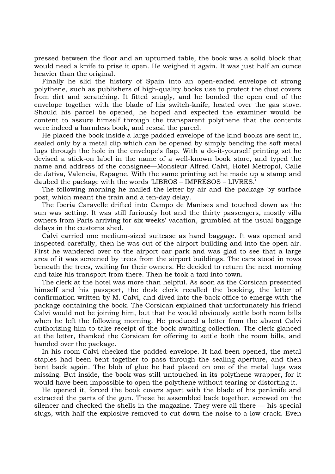pressed between the floor and an upturned table, the book was a solid block that would need a knife to prise it open. He weighed it again. It was just half an ounce heavier than the original.

 Finally he slid the history of Spain into an open-ended envelope of strong polythene, such as publishers of high-quality books use to protect the dust covers from dirt and scratching. It fitted snugly, and he bonded the open end of the envelope together with the blade of his switch-knife, heated over the gas stove. Should his parcel be opened, he hoped and expected the examiner would be content to assure himself through the transparent polythene that the contents were indeed a harmless book, and reseal the parcel.

 He placed the book inside a large padded envelope of the kind books are sent in, sealed only by a metal clip which can be opened by simply bending the soft metal lugs through the hole in the envelope's flap. With a do-it-yourself printing set he devised a stick-on label in the name of a well-known book store, and typed the name and address of the consignee—Monsieur Alfred Calvi, Hotel Metropol, Calle de Jativa, Valencia, Espagne. With the same printing set he made up a stamp and daubed the package with the words 'LIBROS – IMPRESOS – LIVRES.'

 The following morning he mailed the letter by air and the package by surface post, which meant the train and a ten-day delay.

 The Iberia Caravelle drifted into Campo de Manises and touched down as the sun was setting. It was still furiously hot and the thirty passengers, mostly villa owners from Paris arriving for six weeks' vacation, grumbled at the usual baggage delays in the customs shed.

 Calvi carried one medium-sized suitcase as hand baggage. It was opened and inspected carefully, then he was out of the airport building and into the open air. First he wandered over to the airport car park and was glad to see that a large area of it was screened by trees from the airport buildings. The cars stood in rows beneath the trees, waiting for their owners. He decided to return the next morning and take his transport from there. Then he took a taxi into town.

 The clerk at the hotel was more than helpful. As soon as the Corsican presented himself and his passport, the desk clerk recalled the booking, the letter of confirmation written by M. Calvi, and dived into the back office to emerge with the package containing the book. The Corsican explained that unfortunately his friend Calvi would not be joining him, but that he would obviously settle both room bills when he left the following morning. He produced a letter from the absent Calvi authorizing him to take receipt of the book awaiting collection. The clerk glanced at the letter, thanked the Corsican for offering to settle both the room bills, and handed over the package.

 In his room Calvi checked the padded envelope. It had been opened, the metal staples had been bent together to pass through the sealing aperture, and then bent back again. The blob of glue he had placed on one of the metal lugs was missing. But inside, the book was still untouched in its polythene wrapper, for it would have been impossible to open the polythene without tearing or distorting it.

 He opened it, forced the book covers apart with the blade of his penknife and extracted the parts of the gun. These he assembled back together, screwed on the silencer and checked the shells in the magazine. They were all there — his special slugs, with half the explosive removed to cut down the noise to a low crack. Even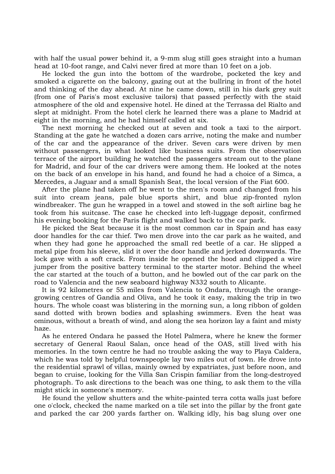with half the usual power behind it, a 9-mm slug still goes straight into a human head at 10-foot range, and Calvi never fired at more than 10 feet on a job.

 He locked the gun into the bottom of the wardrobe, pocketed the key and smoked a cigarette on the balcony, gazing out at the bullring in front of the hotel and thinking of the day ahead. At nine he came down, still in his dark grey suit (from one of Paris's most exclusive tailors) that passed perfectly with the staid atmosphere of the old and expensive hotel. He dined at the Terrassa del Rialto and slept at midnight. From the hotel clerk he learned there was a plane to Madrid at eight in the morning, and he had himself called at six.

 The next morning he checked out at seven and took a taxi to the airport. Standing at the gate he watched a dozen cars arrive, noting the make and number of the car and the appearance of the driver. Seven cars were driven by men without passengers, in what looked like business suits. From the observation terrace of the airport building he watched the passengers stream out to the plane for Madrid, and four of the car drivers were among them. He looked at the notes on the back of an envelope in his hand, and found he had a choice of a Simca, a Mercedes, a Jaguar and a small Spanish Seat, the local version of the Fiat 600.

 After the plane had taken off he went to the men's room and changed from his suit into cream jeans, pale blue sports shirt, and blue zip-fronted nylon windbreaker. The gun he wrapped in a towel and stowed in the soft airline bag he took from his suitcase. The case he checked into left-luggage deposit, confirmed his evening booking for the Paris flight and walked back to the car park.

 He picked the Seat because it is the most common car in Spain and has easy door handles for the car thief. Two men drove into the car park as he waited, and when they had gone he approached the small red beetle of a car. He slipped a metal pipe from his sleeve, slid it over the door handle and jerked downwards. The lock gave with a soft crack. From inside he opened the hood and clipped a wire jumper from the positive battery terminal to the starter motor. Behind the wheel the car started at the touch of a button, and he bowled out of the car park on the road to Valencia and the new seaboard highway N332 south to Alicante.

 It is 92 kilometres or 55 miles from Valencia to Ondara, through the orangegrowing centres of Gandia and Oliva, and he took it easy, making the trip in two hours. The whole coast was blistering in the morning sun, a long ribbon of golden sand dotted with brown bodies and splashing swimmers. Even the heat was ominous, without a breath of wind, and along the sea horizon lay a faint and misty haze.

 As he entered Ondara he passed the Hotel Palmera, where he knew the former secretary of General Raoul Salan, once head of the OAS, still lived with his memories. In the town centre he had no trouble asking the way to Playa Caldera, which he was told by helpful townspeople lay two miles out of town. He drove into the residential sprawl of villas, mainly owned by expatriates, just before noon, and began to cruise, looking for the Villa San Crispin familiar from the long-destroyed photograph. To ask directions to the beach was one thing, to ask them to the villa might stick in someone's memory.

 He found the yellow shutters and the white-painted terra cotta walls just before one o'clock, checked the name marked on a tile set into the pillar by the front gate and parked the car 200 yards farther on. Walking idly, his bag slung over one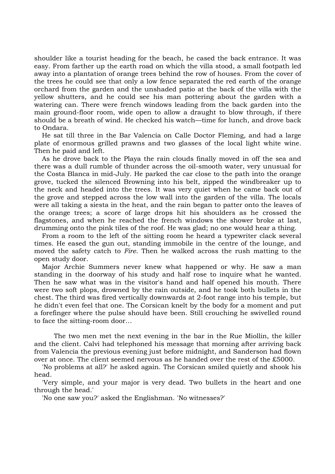shoulder like a tourist heading for the beach, he cased the back entrance. It was easy. From farther up the earth road on which the villa stood, a small footpath led away into a plantation of orange trees behind the row of houses. From the cover of the trees he could see that only a low fence separated the red earth of the orange orchard from the garden and the unshaded patio at the back of the villa with the yellow shutters, and he could see his man pottering about the garden with a watering can. There were french windows leading from the back garden into the main ground-floor room, wide open to allow a draught to blow through, if there should be a breath of wind. He checked his watch—time for lunch, and drove back to Ondara.

 He sat till three in the Bar Valencia on Calle Doctor Fleming, and had a large plate of enormous grilled prawns and two glasses of the local light white wine. Then he paid and left.

 As he drove back to the Playa the rain clouds finally moved in off the sea and there was a dull rumble of thunder across the oil-smooth water, very unusual for the Costa Blanca in mid-July. He parked the car close to the path into the orange grove, tucked the silenced Browning into his belt, zipped the windbreaker up to the neck and headed into the trees. It was very quiet when he came back out of the grove and stepped across the low wall into the garden of the villa. The locals were all taking a siesta in the heat, and the rain began to patter onto the leaves of the orange trees; a score of large drops hit his shoulders as he crossed the flagstones, and when he reached the french windows the shower broke at last, drumming onto the pink tiles of the roof. He was glad; no one would hear a thing.

 From a room to the left of the sitting room he heard a typewriter clack several times. He eased the gun out, standing immobile in the centre of the lounge, and moved the safety catch to *Fire*. Then he walked across the rush matting to the open study door.

 Major Archie Summers never knew what happened or why. He saw a man standing in the doorway of his study and half rose to inquire what he wanted. Then he saw what was in the visitor's hand and half opened his mouth. There were two soft plops, drowned by the rain outside, and he took both bullets in the chest. The third was fired vertically downwards at 2-foot range into his temple, but he didn't even feel that one. The Corsican knelt by the body for a moment and put a forefinger where the pulse should have been. Still crouching he swivelled round to face the sitting-room door…

 The two men met the next evening in the bar in the Rue Miollin, the killer and the client. Calvi had telephoned his message that morning after arriving back from Valencia the previous evening just before midnight, and Sanderson had flown over at once. The client seemed nervous as he handed over the rest of the £5000.

 'No problems at all?' he asked again. The Corsican smiled quietly and shook his head.

 'Very simple, and your major is very dead. Two bullets in the heart and one through the head.'

'No one saw you?' asked the Englishman. 'No witnesses?'